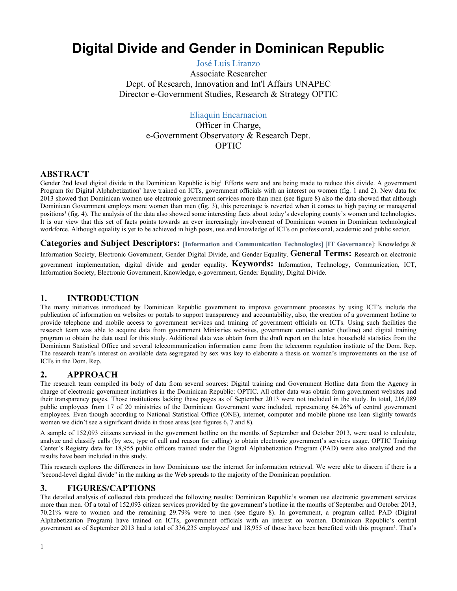# **Digital Divide and Gender in Dominican Republic**

José Luis Liranzo

Associate Researcher Dept. of Research, Innovation and Int'l Affairs UNAPEC Director e-Government Studies, Research & Strategy OPTIC

# Eliaquin Encarnacion

Officer in Charge, e-Government Observatory & Research Dept. OPTIC

#### **ABSTRACT**

Gender 2nd level digital divide in the Dominican Republic is big<sup>1</sup>. Efforts were and are being made to reduce this divide. A government Program for Digital Alphabetization<sup>2</sup> have trained on ICTs, government officials with an interest on women (fig. 1 and 2). New data for 2013 showed that Dominican women use electronic government services more than men (see figure 8) also the data showed that although Dominican Government employs more women than men (fig. 3), this percentage is reverted when it comes to high paying or managerial positions<sup>3</sup> (fig. 4). The analysis of the data also showed some interesting facts about today's developing county's women and technologies. It is our view that this set of facts points towards an ever increasingly involvement of Dominican women in Dominican technological workforce. Although equality is yet to be achieved in high posts, use and knowledge of ICTs on professional, academic and public sector.

**Categories and Subject Descriptors:** [**Information and Communication Technologies**] [**IT Governance**]: Knowledge & Information Society, Electronic Government, Gender Digital Divide, and Gender Equality. **General Terms:** Research on electronic government implementation, digital divide and gender equality. **Keywords:**  Information, Technology, Communication, ICT, Information Society, Electronic Government, Knowledge, egovernment, Gender Equality, Digital Divide.

### **1. INTRODUCTION**

The many initiatives introduced by Dominican Republic government to improve government processes by using ICT's include the publication of information on websites or portals to support transparency and accountability, also, the creation of a government hotline to provide telephone and mobile access to government services and training of government officials on ICTs. Using such facilities the research team was able to acquire data from government Ministries websites, government contact center (hotline) and digital training program to obtain the data used for this study. Additional data was obtain from the draft report on the latest household statistics from the Dominican Statistical Office and several telecommunication information came from the telecomm regulation institute of the Dom. Rep. The research team's interest on available data segregated by sex was key to elaborate a thesis on women's improvements on the use of ICTs in the Dom. Rep.

## **2. APPROACH**

The research team compiled its body of data from several sources: Digital training and Government Hotline data from the Agency in charge of electronic government initiatives in the Dominican Republic: OPTIC. All other data was obtain form government websites and their transparency pages. Those institutions lacking these pages as of September 2013 were not included in the study. In total, 216,089 public employees from 17 of 20 ministries of the Dominican Government were included, representing 64.26% of central government employees. Even though according to National Statistical Office (ONE), internet, computer and mobile phone use lean slightly towards women we didn't see a significant divide in those areas (see figures 6, 7 and 8).

A sample of 152,093 citizens serviced in the government hotline on the months of September and October 2013, were used to calculate, analyze and classify calls (by sex, type of call and reason for calling) to obtain electronic government's services usage. OPTIC Training Center's Registry data for 18,955 public officers trained under the Digital Alphabetization Program (PAD) were also analyzed and the results have been included in this study.

This research explores the differences in how Dominicans use the internet for information retrieval. We were able to discern if there is a "second-level digital divide" in the making as the Web spreads to the majority of the Dominican population.

## **3. FIGURES/CAPTIONS**

The detailed analysis of collected data produced the following results: Dominican Republic's women use electronic government services more than men. Of a total of 152,093 citizen services provided by the government's hotline in the months of September and October 2013, 70.21% were to women and the remaining 29.79% were to men (see figure 8). In government, a program called PAD (Digital Alphabetization Program) have trained on ICTs, government officials with an interest on women. Dominican Republic's central government as of September 2013 had a total of 336,235 employees<sup>3</sup> and 18,955 of those have been benefited with this program<sup>2</sup>. That's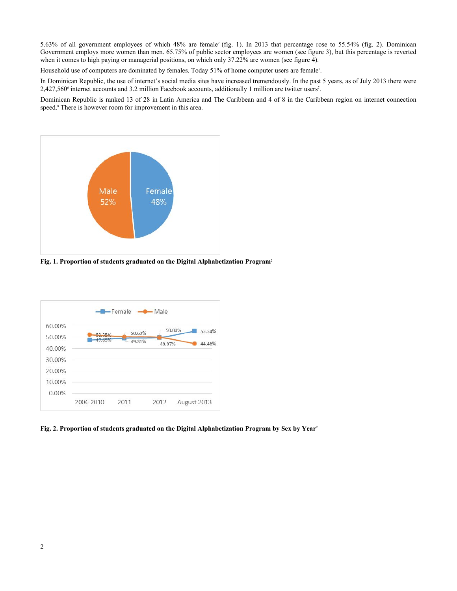5.63% of all government employees of which 48% are female<sup>2</sup> (fig. 1). In 2013 that percentage rose to 55.54% (fig. 2). Dominican Government employs more women than men. 65.75% of public sector employees are women (see figure 3), but this percentage is reverted when it comes to high paying or managerial positions, on which only 37.22% are women (see figure 4).

Household use of computers are dominated by females. Today 51% of home computer users are female<sup>5</sup>. .

In Dominican Republic, the use of internet's social media sites have increased tremendously. In the past 5 years, as of July 2013 there were 2,427,560<sup>6</sup> internet accounts and 3.2 million Facebook accounts, additionally 1 million are twitter users<sup>7</sup>. .

Dominican Republic is ranked 13 of 28 in Latin America and The Caribbean and 4 of 8 in the Caribbean region on internet connection speed.<sup>8</sup> There is however room for improvement in this area.



**Fig. 1. Proportion of students graduated on the Digital Alphabetization Program**<sup>2</sup>



**Fig. 2. Proportion of students graduated on the Digital Alphabetization Program by Sex by Year2**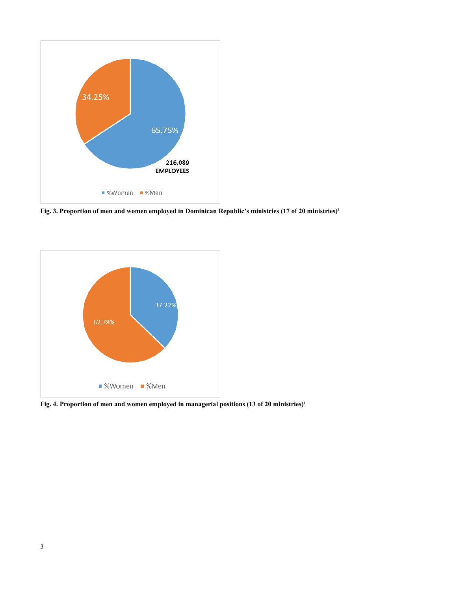

**Fig. 3. Proportion of men and women employed in Dominican Republic's ministries (17 of 20 ministries)<sup>3</sup>**



**Fig. 4. Proportion of men and women employed in managerial positions (13 of 20 ministries)4**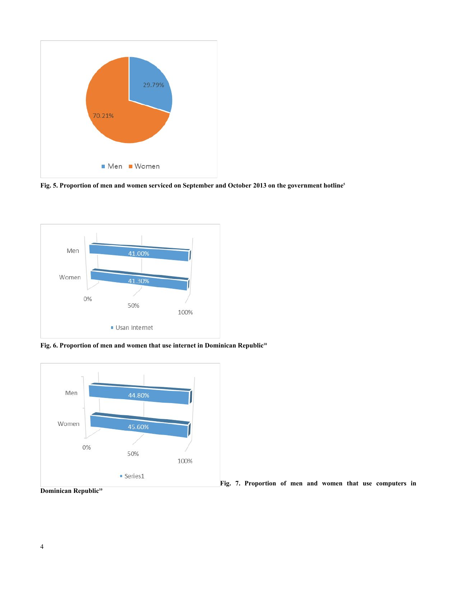

**Fig. 5. Proportion of men and women serviced on September and October 2013 on the government hotline<sup>5</sup>**



**Fig. 6. Proportion of men and women that use internet in Dominican Republic<sup>10</sup>**



**Fig. 7. Proportion of men and women that use computers in** 

**Dominican Republic10**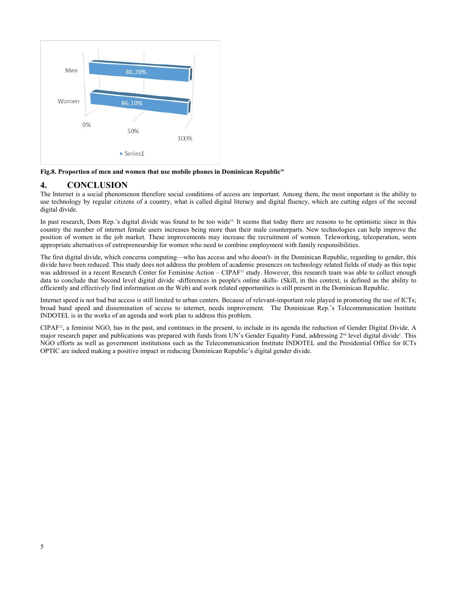

**Fig.8. Proportion of men and women that use mobile phones in Dominican Republic<sup>10</sup>**

## **4. CONCLUSION**

The Internet is a social phenomenon therefore social conditions of access are important. Among them, the most important is the ability to use technology by regular citizens of a country, what is called digital literacy and digital fluency, which are cutting edges of the second digital divide.

In past research, Dom Rep.'s digital divide was found to be too wide<sup>12</sup> It seems that today there are reasons to be optimistic since in this country the number of internet female users increases being more than their male counterparts. New technologies can help improve the position of women in the job market. These improvements may increase the recruitment of women. Teleworking, teleoperation, seem appropriate alternatives of entrepreneurship for women who need to combine employment with family responsibilities.

The first digital divide, which concerns computing—who has access and who doesn't- in the Dominican Republic, regarding to gender, this divide have been reduced. This study does not address the problem of academic presences on technology related fields of study as this topic was addressed in a recent Research Center for Feminine Action – CIPAF<sup>12</sup> study. However, this research team was able to collect enough data to conclude that Second level digital divide -differences in people's online skills- (Skill, in this context, is defined as the ability to efficiently and effectively find information on the Web) and work related opportunities is still present in the Dominican Republic.

Internet speed is not bad but access is still limited to urban centers. Because of relevant-important role played in promoting the use of ICTs; broad band speed and dissemination of access to internet, needs improvement. The Dominican Rep.'s Telecommunication Institute INDOTEL is in the works of an agenda and work plan to address this problem.

 $CIPAF<sup>12</sup>$ , a feminist NGO, has in the past, and continues in the present, to include in its agenda the reduction of Gender Digital Divide. A major research paper and publications was prepared with funds from UN's Gender Equality Fund, addressing 2<sup>nd</sup> level digital divide<sup>1</sup>. This NGO efforts as well as government institutions such as the Telecommunication Institute INDOTEL and the Presidential Office for ICTs OPTIC are indeed making a positive impact in reducing Dominican Republic's digital gender divide.